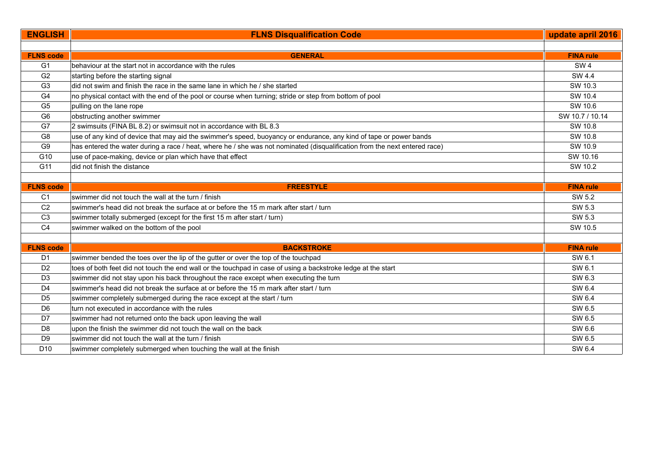| <b>ENGLISH</b>   | <b>FLNS Disqualification Code</b>                                                                                          | update april 2016 |
|------------------|----------------------------------------------------------------------------------------------------------------------------|-------------------|
|                  |                                                                                                                            |                   |
| <b>FLNS code</b> | <b>GENERAL</b>                                                                                                             | <b>FINA rule</b>  |
| G <sub>1</sub>   | behaviour at the start not in accordance with the rules                                                                    | SW <sub>4</sub>   |
| G2               | starting before the starting signal                                                                                        | SW 4.4            |
| G <sub>3</sub>   | did not swim and finish the race in the same lane in which he / she started                                                | SW 10.3           |
| G4               | no physical contact with the end of the pool or course when turning; stride or step from bottom of pool                    | SW 10.4           |
| G <sub>5</sub>   | pulling on the lane rope                                                                                                   | SW 10.6           |
| G <sub>6</sub>   | obstructing another swimmer                                                                                                | SW 10.7 / 10.14   |
| G7               | 2 swimsuits (FINA BL 8.2) or swimsuit not in accordance with BL 8.3                                                        | SW 10.8           |
| G8               | use of any kind of device that may aid the swimmer's speed, buoyancy or endurance, any kind of tape or power bands         | SW 10.8           |
| G <sub>9</sub>   | has entered the water during a race / heat, where he / she was not nominated (disqualification from the next entered race) | SW 10.9           |
| G10              | use of pace-making, device or plan which have that effect                                                                  | SW 10.16          |
| G11              | did not finish the distance                                                                                                | SW 10.2           |
|                  |                                                                                                                            |                   |
| <b>FLNS code</b> | <b>FREESTYLE</b>                                                                                                           | <b>FINA rule</b>  |
| C <sub>1</sub>   | swimmer did not touch the wall at the turn / finish                                                                        | SW 5.2            |
| C <sub>2</sub>   | swimmer's head did not break the surface at or before the 15 m mark after start / turn                                     | SW 5.3            |
| C <sub>3</sub>   | swimmer totally submerged (except for the first 15 m after start / turn)                                                   | SW 5.3            |
| C <sub>4</sub>   | swimmer walked on the bottom of the pool                                                                                   | SW 10.5           |
|                  |                                                                                                                            |                   |
| <b>FLNS code</b> | <b>BACKSTROKE</b>                                                                                                          | <b>FINA rule</b>  |
| D <sub>1</sub>   | swimmer bended the toes over the lip of the gutter or over the top of the touchpad                                         | SW 6.1            |
| D <sub>2</sub>   | toes of both feet did not touch the end wall or the touchpad in case of using a backstroke ledge at the start              | SW 6.1            |
| D <sub>3</sub>   | swimmer did not stay upon his back throughout the race except when executing the turn                                      | SW 6.3            |
| D <sub>4</sub>   | swimmer's head did not break the surface at or before the 15 m mark after start / turn                                     | SW 6.4            |
| D <sub>5</sub>   | swimmer completely submerged during the race except at the start / turn                                                    | SW 6.4            |
| D <sub>6</sub>   | turn not executed in accordance with the rules                                                                             | SW 6.5            |
| D <sub>7</sub>   | swimmer had not returned onto the back upon leaving the wall                                                               | SW 6.5            |
| D <sub>8</sub>   | upon the finish the swimmer did not touch the wall on the back                                                             | SW 6.6            |
| D <sub>9</sub>   | swimmer did not touch the wall at the turn / finish                                                                        | SW 6.5            |
| D <sub>10</sub>  | swimmer completely submerged when touching the wall at the finish                                                          | SW 6.4            |